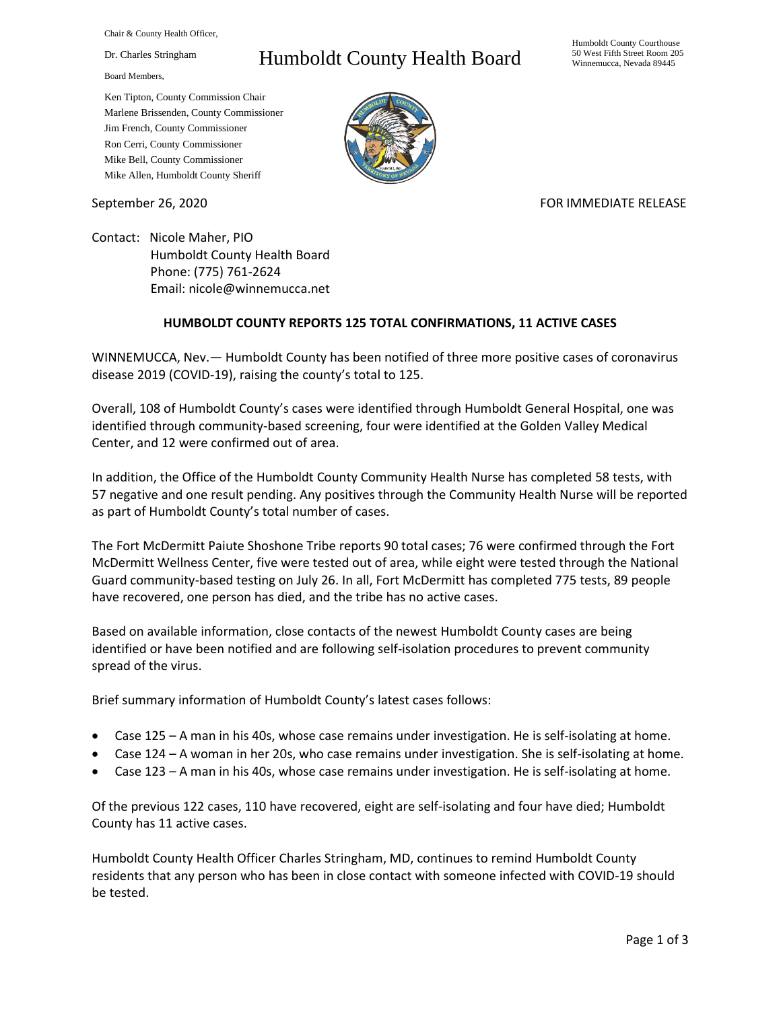Chair & County Health Officer,

Dr. Charles Stringham

Board Members,

## Humboldt County Health Board

Humboldt County Courthouse 50 West Fifth Street Room 205 Winnemucca, Nevada 89445

Ken Tipton, County Commission Chair Marlene Brissenden, County Commissioner Jim French, County Commissioner Ron Cerri, County Commissioner Mike Bell, County Commissioner Mike Allen, Humboldt County Sheriff

September 26, 2020 FOR IMMEDIATE RELEASE

Contact: Nicole Maher, PIO Humboldt County Health Board Phone: (775) 761-2624 Email: nicole@winnemucca.net

## **HUMBOLDT COUNTY REPORTS 125 TOTAL CONFIRMATIONS, 11 ACTIVE CASES**

WINNEMUCCA, Nev.— Humboldt County has been notified of three more positive cases of coronavirus disease 2019 (COVID-19), raising the county's total to 125.

Overall, 108 of Humboldt County's cases were identified through Humboldt General Hospital, one was identified through community-based screening, four were identified at the Golden Valley Medical Center, and 12 were confirmed out of area.

In addition, the Office of the Humboldt County Community Health Nurse has completed 58 tests, with 57 negative and one result pending. Any positives through the Community Health Nurse will be reported as part of Humboldt County's total number of cases.

The Fort McDermitt Paiute Shoshone Tribe reports 90 total cases; 76 were confirmed through the Fort McDermitt Wellness Center, five were tested out of area, while eight were tested through the National Guard community-based testing on July 26. In all, Fort McDermitt has completed 775 tests, 89 people have recovered, one person has died, and the tribe has no active cases.

Based on available information, close contacts of the newest Humboldt County cases are being identified or have been notified and are following self-isolation procedures to prevent community spread of the virus.

Brief summary information of Humboldt County's latest cases follows:

- Case 125 A man in his 40s, whose case remains under investigation. He is self-isolating at home.
- Case 124 A woman in her 20s, who case remains under investigation. She is self-isolating at home.
- Case 123 A man in his 40s, whose case remains under investigation. He is self-isolating at home.

Of the previous 122 cases, 110 have recovered, eight are self-isolating and four have died; Humboldt County has 11 active cases.

Humboldt County Health Officer Charles Stringham, MD, continues to remind Humboldt County residents that any person who has been in close contact with someone infected with COVID-19 should be tested.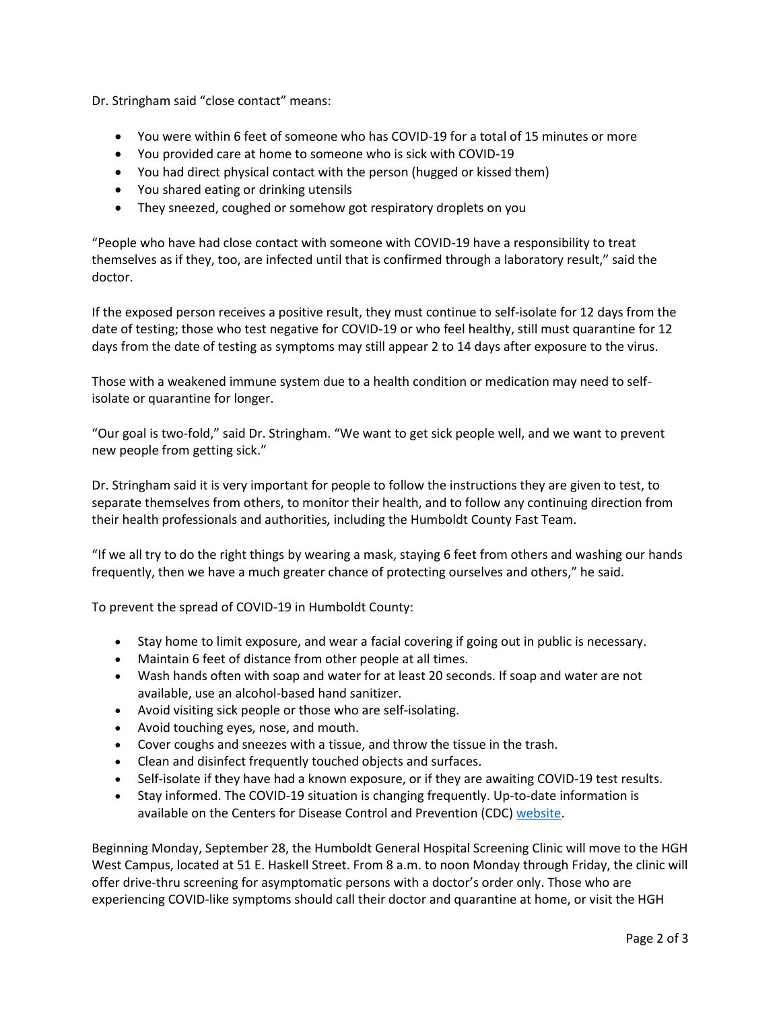Dr. Stringham said "close contact" means:

- You were within 6 feet of someone who has COVID-19 for a total of 15 minutes or more
- You provided care at home to someone who is sick with COVID-19
- You had direct physical contact with the person (hugged or kissed them)
- You shared eating or drinking utensils
- They sneezed, coughed or somehow got respiratory droplets on you

"People who have had close contact with someone with COVID-19 have a responsibility to treat themselves as if they, too, are infected until that is confirmed through a laboratory result," said the doctor.

If the exposed person receives a positive result, they must continue to self-isolate for 12 days from the date of testing; those who test negative for COVID-19 or who feel healthy, still must quarantine for 12 days from the date of testing as symptoms may still appear 2 to 14 days after exposure to the virus.

Those with a weakened immune system due to a health condition or medication may need to selfisolate or quarantine for longer.

"Our goal is two-fold," said Dr. Stringham. "We want to get sick people well, and we want to prevent new people from getting sick."

Dr. Stringham said it is very important for people to follow the instructions they are given to test, to separate themselves from others, to monitor their health, and to follow any continuing direction from their health professionals and authorities, including the Humboldt County Fast Team.

"If we all try to do the right things by wearing a mask, staying 6 feet from others and washing our hands frequently, then we have a much greater chance of protecting ourselves and others," he said.

To prevent the spread of COVID-19 in Humboldt County:

- Stay home to limit exposure, and wear a facial covering if going out in public is necessary.
- Maintain 6 feet of distance from other people at all times.
- Wash hands often with soap and water for at least 20 seconds. If soap and water are not available, use an alcohol-based hand sanitizer.
- Avoid visiting sick people or those who are self-isolating.
- Avoid touching eyes, nose, and mouth.
- Cover coughs and sneezes with a tissue, and throw the tissue in the trash.
- Clean and disinfect frequently touched objects and surfaces.
- Self-isolate if they have had a known exposure, or if they are awaiting COVID-19 test results.
- Stay informed. The COVID-19 situation is changing frequently. Up-to-date information is available on the Centers for Disease Control and Prevention (CDC) [website.](http://www.cdc.gov/coronavirus/2019-ncov/index.html)

Beginning Monday, September 28, the Humboldt General Hospital Screening Clinic will move to the HGH West Campus, located at 51 E. Haskell Street. From 8 a.m. to noon Monday through Friday, the clinic will offer drive-thru screening for asymptomatic persons with a doctor's order only. Those who are experiencing COVID-like symptoms should call their doctor and quarantine at home, or visit the HGH